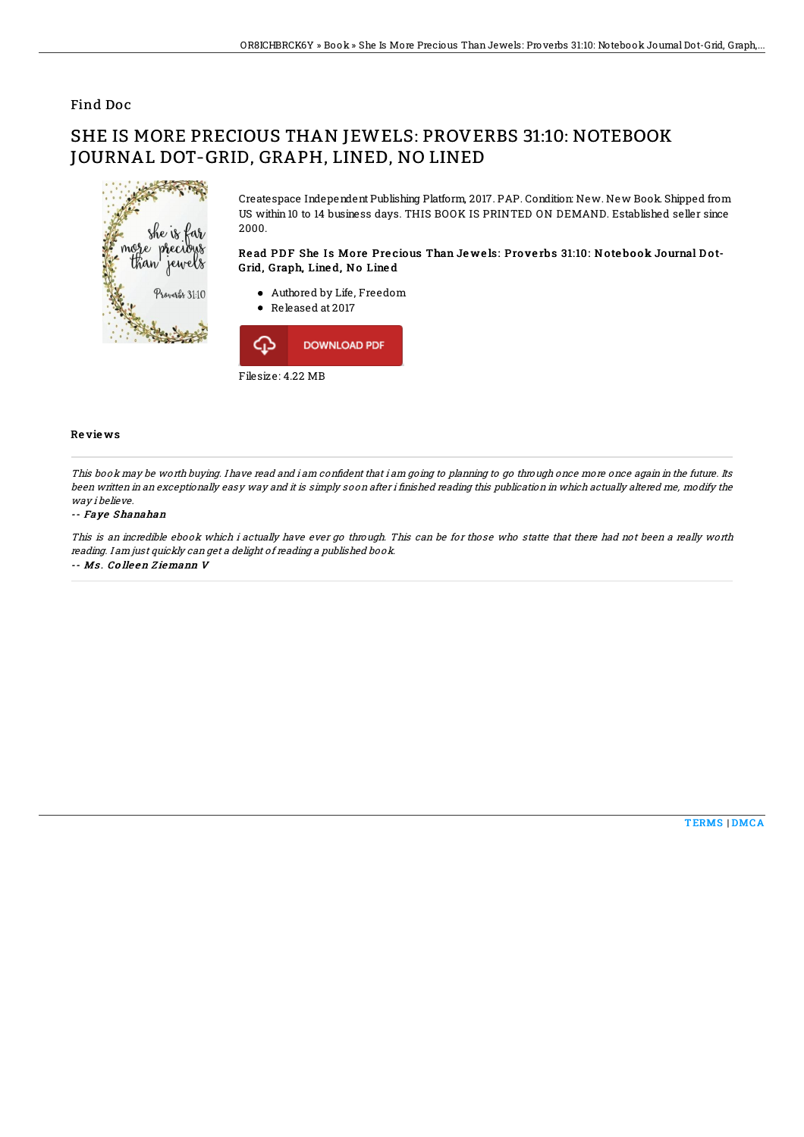## Find Doc

# SHE IS MORE PRECIOUS THAN JEWELS: PROVERBS 31:10: NOTEBOOK JOURNAL DOT-GRID, GRAPH, LINED, NO LINED



Createspace Independent Publishing Platform, 2017. PAP. Condition: New. New Book. Shipped from US within 10 to 14 business days. THIS BOOK IS PRINTED ON DEMAND. Established seller since 2000.

### Read PDF She Is More Precious Than Jewels: Proverbs 31:10: Notebook Journal Dot-Grid, Graph, Line d, No Line d

- Authored by Life, Freedom
- Released at 2017



#### Re vie ws

This book may be worth buying. I have read and i am confident that i am going to planning to go through once more once again in the future. Its been written in an exceptionally easy way and it is simply soon after i finished reading this publication in which actually altered me, modify the way i believe.

#### -- Faye Shanahan

This is an incredible ebook which i actually have ever go through. This can be for those who statte that there had not been <sup>a</sup> really worth reading. I am just quickly can get <sup>a</sup> delight of reading <sup>a</sup> published book.

-- Ms . Co lle en Z iemann V